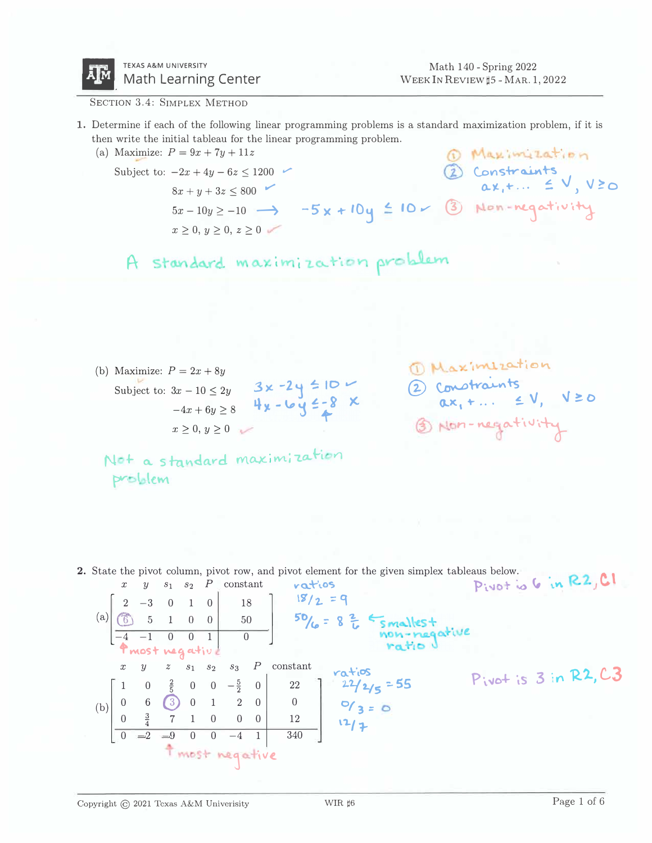

SECTION 3.4: SIMPLEX METHOD

- 1. Determine if each of the following linear programming problems is a standard maximization problem, if it is then write the initial tableau for the linear programming problem.
	- $P = 9x + 7y + 11z$ <br>  $-2x + 4y 6z \le 1200$ <br>  $8x + y + 3z \le 800$ <br>  $5x 10y \ge -10$   $\rightarrow$   $-5x + 10y \le 10$  (3) Non-negativity (a) Maximize:  $P = 9x + 7y + 11z$ Subject to:  $-2x + 4y - 6z \le 1200$  $x > 0, y > 0, z > 0$ 
		- A standard maximization problem

(b) Maximize:  $P = 2x + 8y$ Subject to:  $3x - 10 \le 2y$ <br>  $-4x + 6y \ge 8$ <br>  $x \ge 0, y \ge 0$  2 Constraints<br>ax, +...  $\leq V, V \geq 0$ 1 Non-negativity

Not a standard maximization problem

2. State the pivot column, pivot row, and pivot element for the given simplex tableaus below. Pivot is 6 in R2, CI ratios (a)  $\begin{bmatrix} 2 & -3 & 0 & 1 & 0 \\ 6 & 5 & 1 & 0 & 0 \\ -4 & -1 & 0 & 0 & 1 \end{bmatrix}$  18<br>50/6 = 8  $\frac{2}{6}$  Smallest non-negative Pmost negativ  $x \quad y \quad z \quad s_1 \quad s_2 \quad s_3 \quad P \quad constant$ (b)  $\begin{bmatrix} 1 & 0 & \frac{2}{5} & 0 & 0 & -\frac{5}{2} & 0 \\ 0 & 6 & 3 & 0 & 1 & 2 & 0 \\ 0 & \frac{3}{4} & 7 & 1 & 0 & 0 & 0 \\ 0 & =2 & -9 & 0 & 0 & -4 & 1 & 340 \end{bmatrix}$   $\begin{matrix} 7a^{+}i\sigma S \\ 22 \\ 0 \\ 12 \\ 340 \end{matrix}$   $\begin{matrix} 22 \\ 27/2/5 \\ 0 \\ 0 \\ 12 \\ 12/7 \end{matrix}$  $P_{ivot}$  is 3 in R2, C3 **t** most negative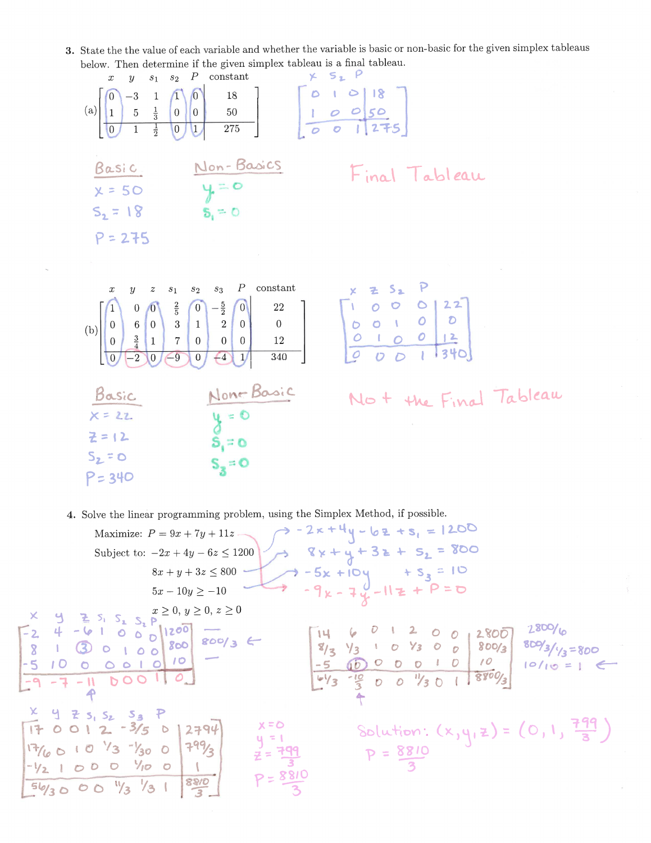3. State the the value of each variable and whether the variable is basic or non-basic for the given simplex tableaus below. Then determine if the given simplex tableau is a final tableau.

| neinm                                                    | determine it the given simplex tasteau                                                                                                                                                                                                                                |                                                                                                            |
|----------------------------------------------------------|-----------------------------------------------------------------------------------------------------------------------------------------------------------------------------------------------------------------------------------------------------------------------|------------------------------------------------------------------------------------------------------------|
| $s_1$<br>$\boldsymbol{y}$<br>$\boldsymbol{x}$            | $s_2$ $P$ constant                                                                                                                                                                                                                                                    | $\times$ $S_2$ $P$                                                                                         |
|                                                          | $\begin{bmatrix} 0 & -3 & 1 & 1 \ 1 & 5 & \frac{1}{3} & 0 & 0 & 50 \ 0 & 1 & \frac{1}{2} & 0 & 1 & 275 \end{bmatrix}$                                                                                                                                                 | $\left[\begin{array}{rrr r} 0 & 1 & 0 & 18 \\ 1 & 0 & 0 & 50 \\ \hline 0 & 0 & 1 & 275 \end{array}\right]$ |
| (a)                                                      |                                                                                                                                                                                                                                                                       |                                                                                                            |
|                                                          |                                                                                                                                                                                                                                                                       |                                                                                                            |
|                                                          |                                                                                                                                                                                                                                                                       |                                                                                                            |
|                                                          |                                                                                                                                                                                                                                                                       |                                                                                                            |
| Basic                                                    |                                                                                                                                                                                                                                                                       | Final Tableau                                                                                              |
| $x = 50$                                                 | Non-Basics<br>$y = 0$<br>$\delta_1 = 0$                                                                                                                                                                                                                               |                                                                                                            |
| $S_2 = 18$                                               |                                                                                                                                                                                                                                                                       |                                                                                                            |
|                                                          |                                                                                                                                                                                                                                                                       |                                                                                                            |
| $P = 275$                                                |                                                                                                                                                                                                                                                                       |                                                                                                            |
|                                                          |                                                                                                                                                                                                                                                                       |                                                                                                            |
|                                                          |                                                                                                                                                                                                                                                                       |                                                                                                            |
| $\boldsymbol{z}$<br>$\boldsymbol{y}$<br>$\boldsymbol{x}$ | constant<br>$P_{-}$<br>$s_3$<br>$\sqrt{s_{2}}$<br>$\sqrt{s_{1}}$                                                                                                                                                                                                      | $X = S_2 P$<br>$0 0 0 22$<br>$0 0 0 22$<br>$0 0 0 22$<br>$0 0 22$<br>$0 0 22$<br>$0 0 22$                  |
|                                                          |                                                                                                                                                                                                                                                                       |                                                                                                            |
|                                                          | (b) $\begin{bmatrix} 1 & 0 & 0 \ 0 & 6 & 0 \ 0 & \frac{3}{4} & 1 & 7 \end{bmatrix}$ $\begin{bmatrix} \frac{2}{5} & 0 & -\frac{5}{2} & 0 \ 1 & 2 & 0 & 0 \ 0 & 0 & 0 & 12 \end{bmatrix}$ $\begin{bmatrix} 22 & 22 \ 0 & 0 & 0 \ 12 & 2 & 0 \ 0 & 0 & 12 \end{bmatrix}$ |                                                                                                            |
|                                                          |                                                                                                                                                                                                                                                                       |                                                                                                            |
| $\overline{-2}$<br>$\overline{0}$<br>$\overline{0}$      | $\overline{340}$<br>$\overline{-9}$<br>$\left(4\right)$<br>$\overline{0}$ .<br>1/                                                                                                                                                                                     |                                                                                                            |
|                                                          |                                                                                                                                                                                                                                                                       |                                                                                                            |
|                                                          |                                                                                                                                                                                                                                                                       |                                                                                                            |
| Basic                                                    |                                                                                                                                                                                                                                                                       | No + the Final Tableau                                                                                     |
| $X = 22$                                                 |                                                                                                                                                                                                                                                                       |                                                                                                            |
| $Z = 12$                                                 |                                                                                                                                                                                                                                                                       |                                                                                                            |
|                                                          | None Basic<br>$y = 0$<br>$S_1 = 0$<br>$S_2 = 0$                                                                                                                                                                                                                       |                                                                                                            |
| $S_2 = 0$                                                |                                                                                                                                                                                                                                                                       |                                                                                                            |
| $P = 340$                                                |                                                                                                                                                                                                                                                                       |                                                                                                            |
|                                                          |                                                                                                                                                                                                                                                                       |                                                                                                            |

4. Solve the linear programming problem, using the Simplex Method, if possible.

 $\sim$ 

| $8x + y + 3z + s_2 = 800$<br>Subject to: $-2x + 4y - 6z \le 1200$<br>$7 - 5x + 10y + S_3 = 10$<br>$8x + y + 3z \le 800$                                                                                                                                                                                                                                                                                                                                                                                                                                  |                                                                                                            |
|----------------------------------------------------------------------------------------------------------------------------------------------------------------------------------------------------------------------------------------------------------------------------------------------------------------------------------------------------------------------------------------------------------------------------------------------------------------------------------------------------------------------------------------------------------|------------------------------------------------------------------------------------------------------------|
|                                                                                                                                                                                                                                                                                                                                                                                                                                                                                                                                                          |                                                                                                            |
|                                                                                                                                                                                                                                                                                                                                                                                                                                                                                                                                                          |                                                                                                            |
| $7 - 9k - 7k - 11k + 9 = 0$<br>$5x - 10y \ge -10$                                                                                                                                                                                                                                                                                                                                                                                                                                                                                                        |                                                                                                            |
|                                                                                                                                                                                                                                                                                                                                                                                                                                                                                                                                                          |                                                                                                            |
| $x$ y z s <sub>1</sub> s <sub>2</sub> $y \ge 0, z \ge 0$<br>-2 4 -6 1 0 0 0 1200<br>8 1 3 0 1 0 0 800 800/3 $\leftarrow$<br>$U$ 1 2 0 0<br>$\frac{8}{3}$ $\frac{1}{3}$ 1 0 $\frac{1}{3}$ 0 0 $\frac{1}{8}$ 800/3<br>10 <sup>°</sup><br>000000<br>$\bullet$<br>$\frac{-10}{3}$ 0 0 $\frac{1}{3}$ 0 1 8800/3<br>DOO 110<br>$4\frac{1}{3}$<br>$X$ 4 $Z$ 5, 5, 5 $Z$ 5 $R$<br>x = O<br>$170012 - 3/5012794$<br>1799/2<br>$17/6010^{12}3^{1300}$<br>$z = \frac{799}{3}$<br>$-1/2$ 1 0 0 0 $1/10$ 0<br>$P = \frac{8810}{3}$<br>89/0<br>$56/3000\frac{1}{3}/31$ | 2800/6<br>2800<br>$809/3/1/3=800$<br>$10/10 = 1$<br>Solution: $(x,y,z) = (0,1, \frac{799}{3})$<br>P = 8810 |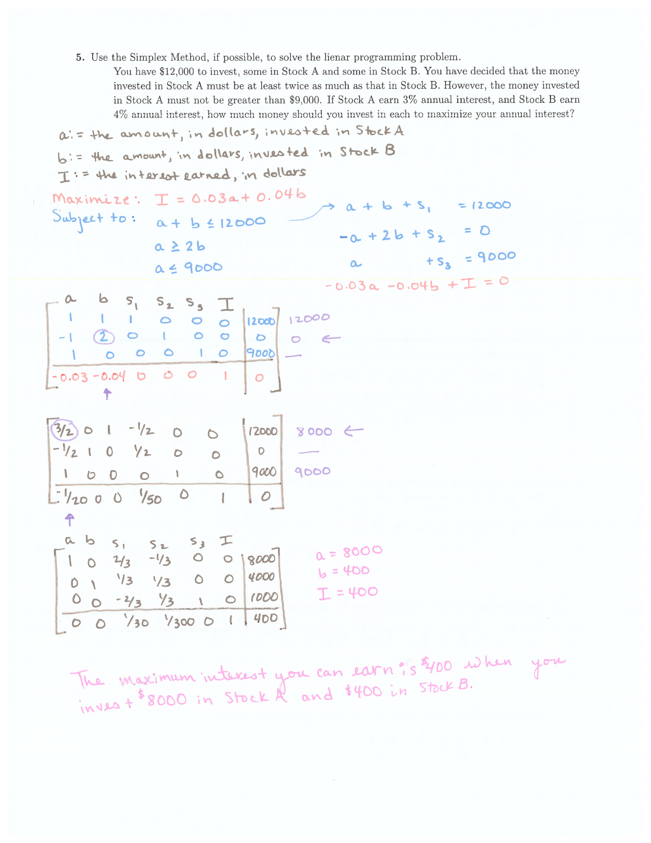5. Use the Simplex Method, if possible, to solve the lienar programming problem.

You have \$12,000 to invest, some in Stock A and some in Stock B. You have decided that the money invested in Stock A must be at least twice as much as that in Stock B. However, the money invested in Stock A must not be greater than \$9,000. If Stock A earn 3% annual interest, and Stock B earn 4% annual interest, how much money should you invest in each to maximize your annual interest? 1 Henry much a faith State

|                                                                                               | $a = +b$ amount, in dollars, invested in stock A<br>$b :=$ the amount, in dollars, invested in Stock B<br>I: = the interest earned, in dollars       |                            |                                      |                                                                 |            |  |
|-----------------------------------------------------------------------------------------------|------------------------------------------------------------------------------------------------------------------------------------------------------|----------------------------|--------------------------------------|-----------------------------------------------------------------|------------|--|
|                                                                                               | Maximize: $I = 0.03a + 0.04b$<br>Subject to: $\alpha + b \le 12000$<br>$a \geq 2b$<br>$a \leq 9000$                                                  |                            |                                      | $2a + b + s_1 = 12000$<br>$-0. + 2b + S_2 = 0$<br>$4s_3 = 9000$ |            |  |
| $\frac{1}{2}$<br>$-1$ $2$ 0 $1$ 0 0<br>$-0.03 - 0.04$ b 0 0 1<br>↟<br>$(3/2)$ 0 1 - $1/2$ 0 0 | 65, 525<br>$1$ 0 0 0 $ 12000 $ $ 12000$<br>100010<br>$9000$ -<br>$\circ$<br> 2000                                                                    | 00C<br>$8000$ $\leftarrow$ |                                      | $-0.03a -0.04b + T = 0$                                         |            |  |
| $-1/2$ 1 0 $1/2$ 0<br>100010<br>$1/2000 \frac{1}{5000}$<br>$\biguparrow$<br>a b               | $\overline{O}$<br>$\overline{\phantom{0}}$<br>$\mathcal{O}$<br>$\mathcal{A}$                                                                         | 9000 9000                  |                                      |                                                                 |            |  |
| 10                                                                                            | $S_1$ $S_2$ $S_3$ $\top$<br>$1/3$ -1/3 0 0   8000<br>$0$ $\sqrt{3}$ $\sqrt{3}$ 0 0<br>$0$ 0 - $2/3$ $1$ 0 $1000$<br>$0$ 0 $1$ $/30$ $/300$ 0 1 $400$ | 4000                       | $a = 8000$<br>$b = 400$<br>$I = 400$ |                                                                 | . <b>.</b> |  |

The maximum interest you can earn? s \$400 when you<br>invest \$8000 in Stock A and \$400 in Stock B.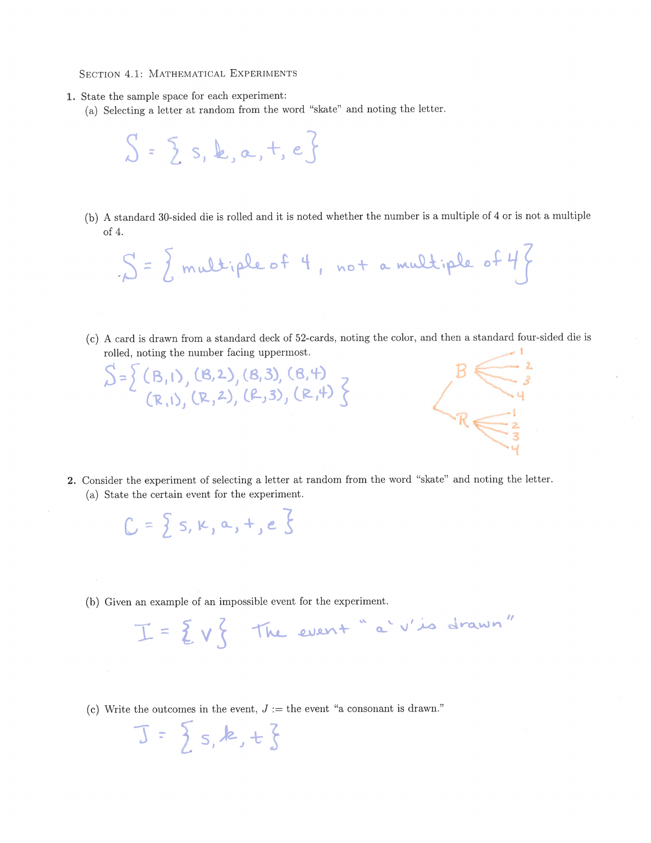SECTION 4.1: MATHEMATICAL EXPERIMENTS

- 1. State the sample space for each experiment:
	- (a) Selecting a letter at random from the word "skate" and noting the letter.



(b) A standard 30-sided die is rolled and it is noted whether the number is a multiple of 4 or is not a multiple of  $4$ .

 $S = \{ \text{multiplex of 4, not a multiplex of 4} \}$ 

(c) A card is drawn from a standard deck of 52-cards, noting the color, and then a standard four-sided die is rolled, noting the number facing uppermost.

2. Consider the experiment of selecting a letter at random from the word "skate" and noting the letter.

(a) State the certain event for the experiment.

 $C = \{s, \kappa, a, +, e\}$ 

 $J = \{s, k, t\}$ 

 $S = \left\{ (B,1), (B,2), (B,3), (B,4), (R,1), (R,2), (R,3), (R,4) \right\}$ 

(b) Given an example of an impossible event for the experiment.

 $I = \{ v \}$  The event "a' v'is drawn"

(c) Write the outcomes in the event,  $J :=$  the event "a consonant is drawn."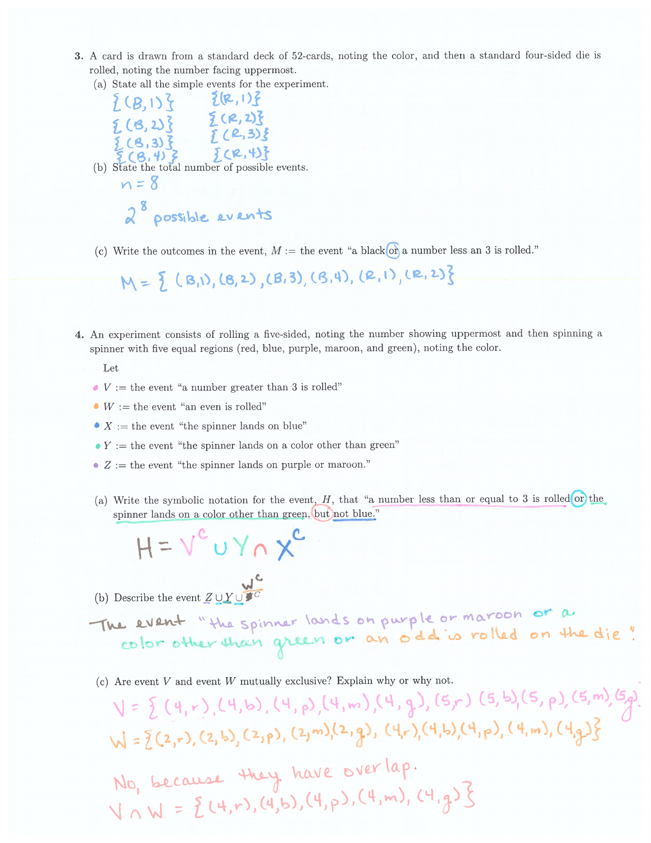3. A card is drawn from a standard deck of 52-cards, noting the color, and then a standard four-sided die is rolled, noting the number facing uppermost.

(a) State all the simple events for the experiment.

 ${ (B,1) }$ <br>  ${ (B,1) }$ <br>  ${ (B,2) }$ <br>  ${ (B,3) }$ <br>  ${ (B,3) }$ <br>  ${ (B,3) }$ <br>  ${ (B,4) }$ <br>  ${ (B,4) }$ <br>  ${ (B,5) }$ <br>  ${ (B,6) }$ <br>  ${ (B,6) }$ <br>  ${ (B,7) }$ <br>  ${ (B,8) }$ <br>  ${ (B,9) }$ <br>  ${ (B,9) }$ <br>  ${ (B,9) }$ <br>  ${ (B,9) }$ <br>  ${ (B,9) }$ <br>  ${ (B,9) }$  $\{R,1\}$  ${6.136}$ (b) State the total number of possible events.  $n = 8$ 2<sup>8</sup> possible events

(c) Write the outcomes in the event,  $M :=$  the event "a black or a number less an 3 is rolled."

 $M = \{ (B,1), (B,2), (B,3), (B,4), (R,1), (R,2) \}$ 

- 4. An experiment consists of rolling a five-sided, noting the number showing uppermost and then spinning a spinner with five equal regions (red, blue, purple, maroon, and green), noting the color.
	- Let
	- $\bullet$  V := the event "a number greater than 3 is rolled"
	- $W :=$  the event "an even is rolled"
	- $X :=$  the event "the spinner lands on blue"
	- $\bullet Y :=$  the event "the spinner lands on a color other than green"
	- $Z :=$  the event "the spinner lands on purple or maroon."
	- (a) Write the symbolic notation for the event,  $H$ , that "a number less than or equal to 3 is rolled or the spinner lands on a color other than green, but not blue."

$$
H = V^c \cup Y \cap X^c
$$

(b) Describe the event  $Z \cup Y \cup \overbrace{S}^C$ 

The event "the spinner lands on purple or maroon or a color other than green or an odd is rolled on the die!

(c) Are event  $V$  and event  $W$  mutually exclusive? Explain why or why not.

 $V = \frac{1}{2}(4, r), (4, b), (4, p), (4, m), (4, q), (5, r), (5, b), (5, p), (5, m), (5, p)$  $W = \{(2, r), (2, b), (2, p), (2, m), (2, q), (4, r), (4, b), (4, p), (4, m), (4, q)\}$ No, because they have overlap.  $V \cap W = \{ (4, r), (4, b), (4, p), (4, m), (4, q) \}$